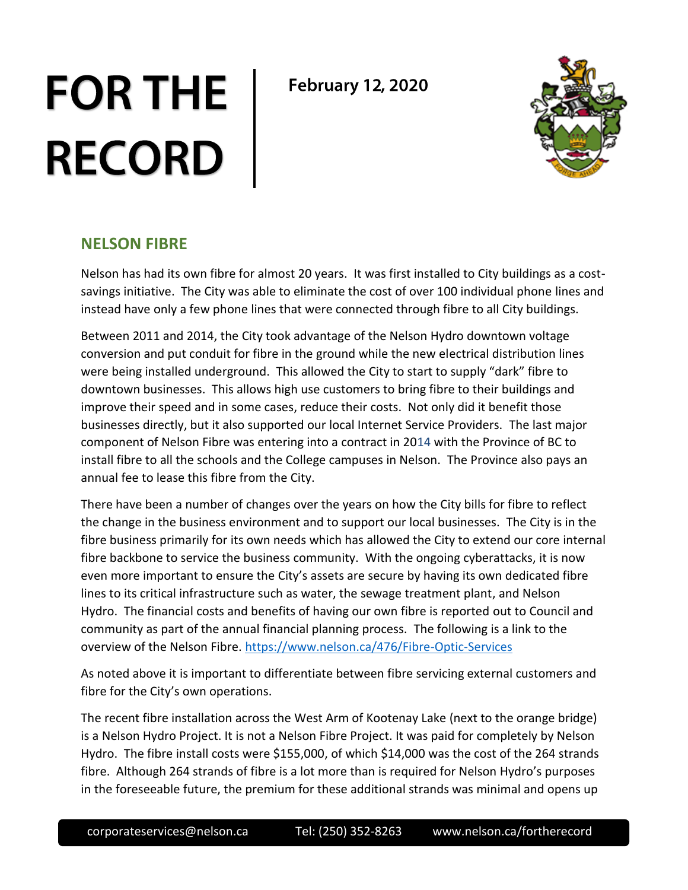## **FOR THE RECORD**

**February 12, 2020** 



## **NELSON FIBRE**

Nelson has had its own fibre for almost 20 years. It was first installed to City buildings as a costsavings initiative. The City was able to eliminate the cost of over 100 individual phone lines and instead have only a few phone lines that were connected through fibre to all City buildings.

Between 2011 and 2014, the City took advantage of the Nelson Hydro downtown voltage conversion and put conduit for fibre in the ground while the new electrical distribution lines were being installed underground. This allowed the City to start to supply "dark" fibre to downtown businesses. This allows high use customers to bring fibre to their buildings and improve their speed and in some cases, reduce their costs. Not only did it benefit those businesses directly, but it also supported our local Internet Service Providers. The last major component of Nelson Fibre was entering into a contract in 2014 with the Province of BC to install fibre to all the schools and the College campuses in Nelson. The Province also pays an annual fee to lease this fibre from the City.

There have been a number of changes over the years on how the City bills for fibre to reflect the change in the business environment and to support our local businesses. The City is in the fibre business primarily for its own needs which has allowed the City to extend our core internal fibre backbone to service the business community. With the ongoing cyberattacks, it is now even more important to ensure the City's assets are secure by having its own dedicated fibre lines to its critical infrastructure such as water, the sewage treatment plant, and Nelson Hydro. The financial costs and benefits of having our own fibre is reported out to Council and community as part of the annual financial planning process. The following is a link to the overview of the Nelson Fibre. <https://www.nelson.ca/476/Fibre-Optic-Services>

As noted above it is important to differentiate between fibre servicing external customers and fibre for the City's own operations.

The recent fibre installation across the West Arm of Kootenay Lake (next to the orange bridge) is a Nelson Hydro Project. It is not a Nelson Fibre Project. It was paid for completely by Nelson Hydro. The fibre install costs were \$155,000, of which \$14,000 was the cost of the 264 strands fibre. Although 264 strands of fibre is a lot more than is required for Nelson Hydro's purposes in the foreseeable future, the premium for these additional strands was minimal and opens up